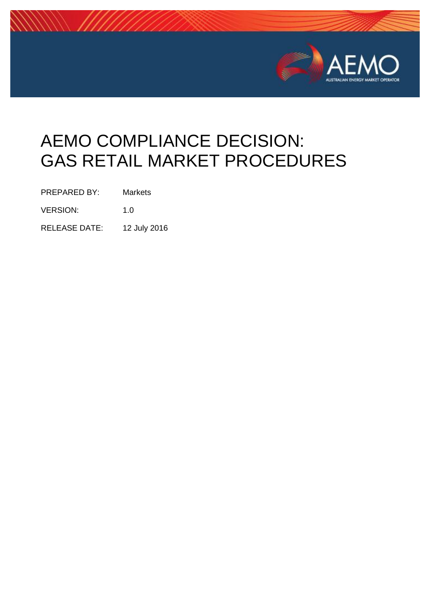

# AEMO COMPLIANCE DECISION: GAS RETAIL MARKET PROCEDURES

PREPARED BY: Markets

VERSION: 1.0

RELEASE DATE: 12 July 2016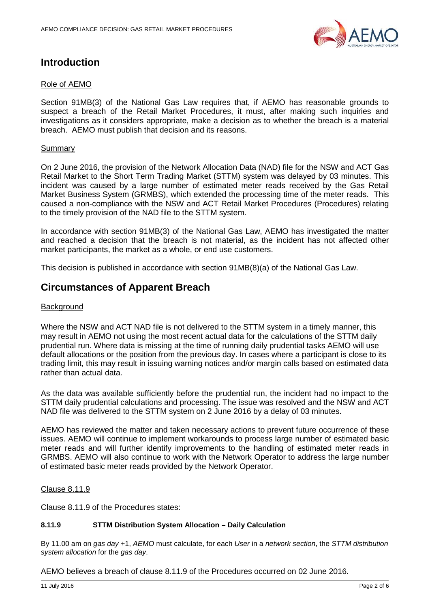

## **Introduction**

#### Role of AEMO

Section 91MB(3) of the National Gas Law requires that, if AEMO has reasonable grounds to suspect a breach of the Retail Market Procedures, it must, after making such inquiries and investigations as it considers appropriate, make a decision as to whether the breach is a material breach. AEMO must publish that decision and its reasons.

#### Summary

On 2 June 2016, the provision of the Network Allocation Data (NAD) file for the NSW and ACT Gas Retail Market to the Short Term Trading Market (STTM) system was delayed by 03 minutes. This incident was caused by a large number of estimated meter reads received by the Gas Retail Market Business System (GRMBS), which extended the processing time of the meter reads. This caused a non-compliance with the NSW and ACT Retail Market Procedures (Procedures) relating to the timely provision of the NAD file to the STTM system.

In accordance with section 91MB(3) of the National Gas Law, AEMO has investigated the matter and reached a decision that the breach is not material, as the incident has not affected other market participants, the market as a whole, or end use customers.

This decision is published in accordance with section 91MB(8)(a) of the National Gas Law.

## **Circumstances of Apparent Breach**

#### **Background**

Where the NSW and ACT NAD file is not delivered to the STTM system in a timely manner, this may result in AEMO not using the most recent actual data for the calculations of the STTM daily prudential run. Where data is missing at the time of running daily prudential tasks AEMO will use default allocations or the position from the previous day. In cases where a participant is close to its trading limit, this may result in issuing warning notices and/or margin calls based on estimated data rather than actual data.

As the data was available sufficiently before the prudential run, the incident had no impact to the STTM daily prudential calculations and processing. The issue was resolved and the NSW and ACT NAD file was delivered to the STTM system on 2 June 2016 by a delay of 03 minutes.

AEMO has reviewed the matter and taken necessary actions to prevent future occurrence of these issues. AEMO will continue to implement workarounds to process large number of estimated basic meter reads and will further identify improvements to the handling of estimated meter reads in GRMBS. AEMO will also continue to work with the Network Operator to address the large number of estimated basic meter reads provided by the Network Operator.

#### Clause 8.11.9

Clause 8.11.9 of the Procedures states:

#### **8.11.9 STTM Distribution System Allocation – Daily Calculation**

By 11.00 am on *gas day* +1, *AEMO* must calculate, for each *User* in a *network section*, the *STTM distribution system allocation* for the *gas day*.

AEMO believes a breach of clause 8.11.9 of the Procedures occurred on 02 June 2016.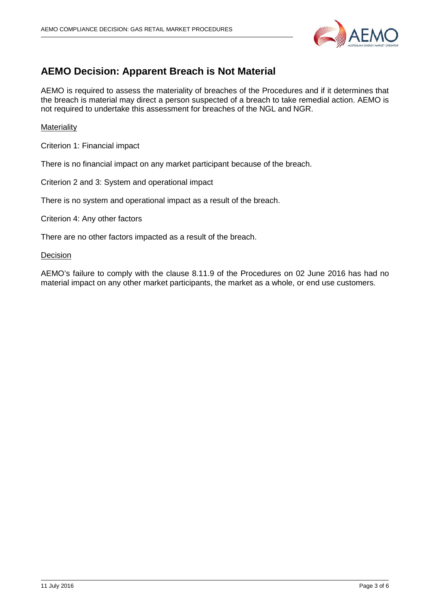

## **AEMO Decision: Apparent Breach is Not Material**

AEMO is required to assess the materiality of breaches of the Procedures and if it determines that the breach is material may direct a person suspected of a breach to take remedial action. AEMO is not required to undertake this assessment for breaches of the NGL and NGR.

#### **Materiality**

Criterion 1: Financial impact

There is no financial impact on any market participant because of the breach.

Criterion 2 and 3: System and operational impact

There is no system and operational impact as a result of the breach.

Criterion 4: Any other factors

There are no other factors impacted as a result of the breach.

**Decision** 

AEMO's failure to comply with the clause 8.11.9 of the Procedures on 02 June 2016 has had no material impact on any other market participants, the market as a whole, or end use customers.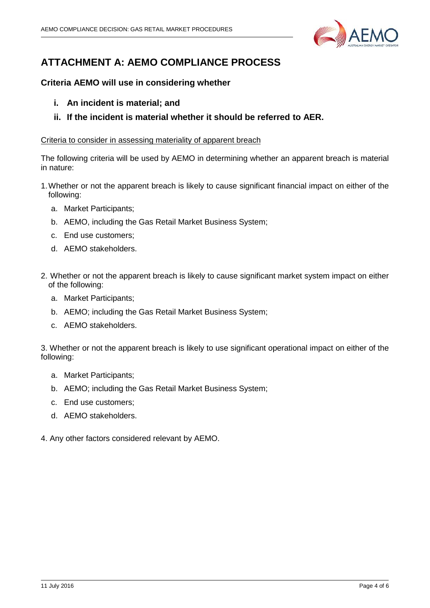

# **ATTACHMENT A: AEMO COMPLIANCE PROCESS**

### **Criteria AEMO will use in considering whether**

- **i. An incident is material; and**
- **ii. If the incident is material whether it should be referred to AER.**

#### Criteria to consider in assessing materiality of apparent breach

The following criteria will be used by AEMO in determining whether an apparent breach is material in nature:

- 1.Whether or not the apparent breach is likely to cause significant financial impact on either of the following:
	- a. Market Participants;
	- b. AEMO, including the Gas Retail Market Business System;
	- c. End use customers;
	- d. AEMO stakeholders.
- 2. Whether or not the apparent breach is likely to cause significant market system impact on either of the following:
	- a. Market Participants;
	- b. AEMO; including the Gas Retail Market Business System;
	- c. AEMO stakeholders.

3. Whether or not the apparent breach is likely to use significant operational impact on either of the following:

- a. Market Participants;
- b. AEMO; including the Gas Retail Market Business System;
- c. End use customers;
- d. AEMO stakeholders.
- 4. Any other factors considered relevant by AEMO.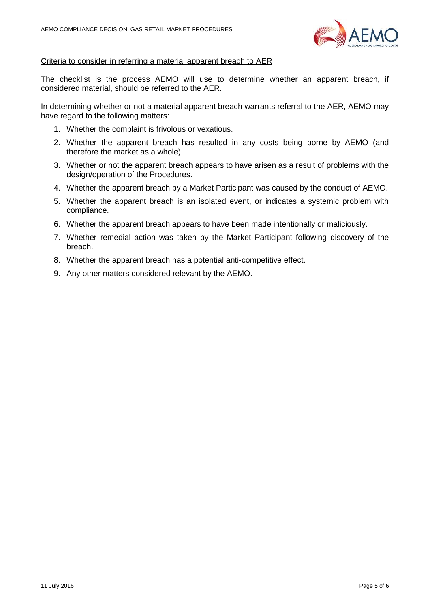

#### Criteria to consider in referring a material apparent breach to AER

The checklist is the process AEMO will use to determine whether an apparent breach, if considered material, should be referred to the AER.

In determining whether or not a material apparent breach warrants referral to the AER, AEMO may have regard to the following matters:

- 1. Whether the complaint is frivolous or vexatious.
- 2. Whether the apparent breach has resulted in any costs being borne by AEMO (and therefore the market as a whole).
- 3. Whether or not the apparent breach appears to have arisen as a result of problems with the design/operation of the Procedures.
- 4. Whether the apparent breach by a Market Participant was caused by the conduct of AEMO.
- 5. Whether the apparent breach is an isolated event, or indicates a systemic problem with compliance.
- 6. Whether the apparent breach appears to have been made intentionally or maliciously.
- 7. Whether remedial action was taken by the Market Participant following discovery of the breach.
- 8. Whether the apparent breach has a potential anti-competitive effect.
- 9. Any other matters considered relevant by the AEMO.